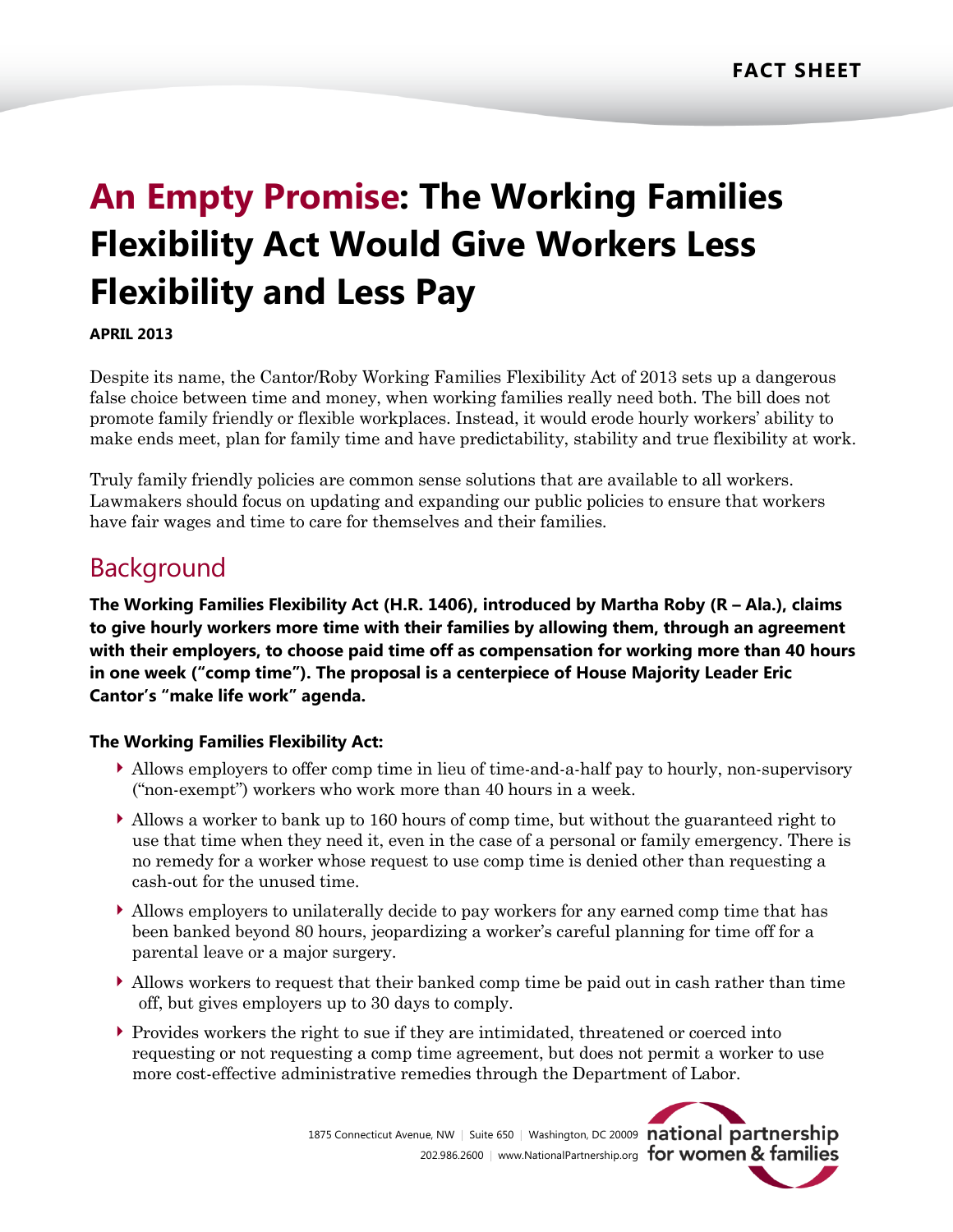# **An Empty Promise: The Working Families Flexibility Act Would Give Workers Less Flexibility and Less Pay**

### **APRIL 2013**

Despite its name, the Cantor/Roby Working Families Flexibility Act of 2013 sets up a dangerous false choice between time and money, when working families really need both. The bill does not promote family friendly or flexible workplaces. Instead, it would erode hourly workers' ability to make ends meet, plan for family time and have predictability, stability and true flexibility at work.

Truly family friendly policies are common sense solutions that are available to all workers. Lawmakers should focus on updating and expanding our public policies to ensure that workers have fair wages and time to care for themselves and their families.

### **Background**

**The Working Families Flexibility Act (H.R. 1406), introduced by Martha Roby (R – Ala.), claims to give hourly workers more time with their families by allowing them, through an agreement with their employers, to choose paid time off as compensation for working more than 40 hours in one week ("comp time"). The proposal is a centerpiece of House Majority Leader Eric Cantor's "make life work" agenda.**

### **The Working Families Flexibility Act:**

- Allows employers to offer comp time in lieu of time-and-a-half pay to hourly, non-supervisory ("non-exempt") workers who work more than 40 hours in a week.
- Allows a worker to bank up to 160 hours of comp time, but without the guaranteed right to use that time when they need it, even in the case of a personal or family emergency. There is no remedy for a worker whose request to use comp time is denied other than requesting a cash-out for the unused time.
- Allows employers to unilaterally decide to pay workers for any earned comp time that has been banked beyond 80 hours, jeopardizing a worker's careful planning for time off for a parental leave or a major surgery.
- Allows workers to request that their banked comp time be paid out in cash rather than time off, but gives employers up to 30 days to comply.
- Provides workers the right to sue if they are intimidated, threatened or coerced into requesting or not requesting a comp time agreement, but does not permit a worker to use more cost-effective administrative remedies through the Department of Labor.

1875 Connecticut Avenue, NW | Suite 650 | Washington, DC 20009 national partnership 202.986.2600 | www.NationalPartnership.org for women & families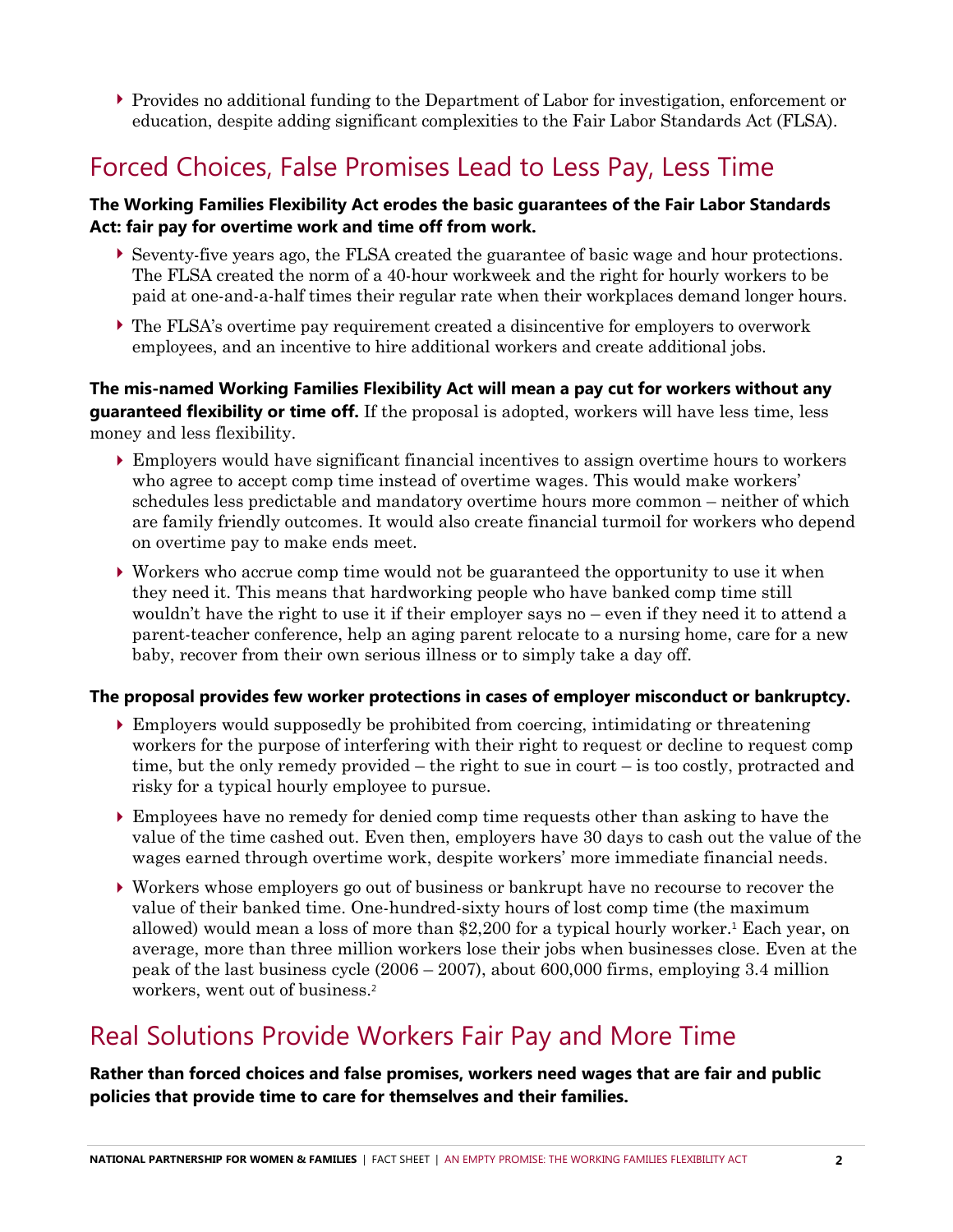Provides no additional funding to the Department of Labor for investigation, enforcement or education, despite adding significant complexities to the Fair Labor Standards Act (FLSA).

## Forced Choices, False Promises Lead to Less Pay, Less Time

### **The Working Families Flexibility Act erodes the basic guarantees of the Fair Labor Standards Act: fair pay for overtime work and time off from work.**

- Seventy-five years ago, the FLSA created the guarantee of basic wage and hour protections. The FLSA created the norm of a 40-hour workweek and the right for hourly workers to be paid at one-and-a-half times their regular rate when their workplaces demand longer hours.
- The FLSA's overtime pay requirement created a disincentive for employers to overwork employees, and an incentive to hire additional workers and create additional jobs.

**The mis-named Working Families Flexibility Act will mean a pay cut for workers without any guaranteed flexibility or time off.** If the proposal is adopted, workers will have less time, less money and less flexibility.

- Employers would have significant financial incentives to assign overtime hours to workers who agree to accept comp time instead of overtime wages. This would make workers' schedules less predictable and mandatory overtime hours more common – neither of which are family friendly outcomes. It would also create financial turmoil for workers who depend on overtime pay to make ends meet.
- Workers who accrue comp time would not be guaranteed the opportunity to use it when they need it. This means that hardworking people who have banked comp time still wouldn't have the right to use it if their employer says no – even if they need it to attend a parent-teacher conference, help an aging parent relocate to a nursing home, care for a new baby, recover from their own serious illness or to simply take a day off.

### **The proposal provides few worker protections in cases of employer misconduct or bankruptcy.**

- Employers would supposedly be prohibited from coercing, intimidating or threatening workers for the purpose of interfering with their right to request or decline to request comp time, but the only remedy provided – the right to sue in court – is too costly, protracted and risky for a typical hourly employee to pursue.
- Employees have no remedy for denied comp time requests other than asking to have the value of the time cashed out. Even then, employers have 30 days to cash out the value of the wages earned through overtime work, despite workers' more immediate financial needs.
- Workers whose employers go out of business or bankrupt have no recourse to recover the value of their banked time. One-hundred-sixty hours of lost comp time (the maximum allowed) would mean a loss of more than  $2,200$  for a typical hourly worker.<sup>1</sup> Each year, on average, more than three million workers lose their jobs when businesses close. Even at the peak of the last business cycle (2006 – 2007), about 600,000 firms, employing 3.4 million workers, went out of business.<sup>2</sup>

### Real Solutions Provide Workers Fair Pay and More Time

**Rather than forced choices and false promises, workers need wages that are fair and public policies that provide time to care for themselves and their families.**